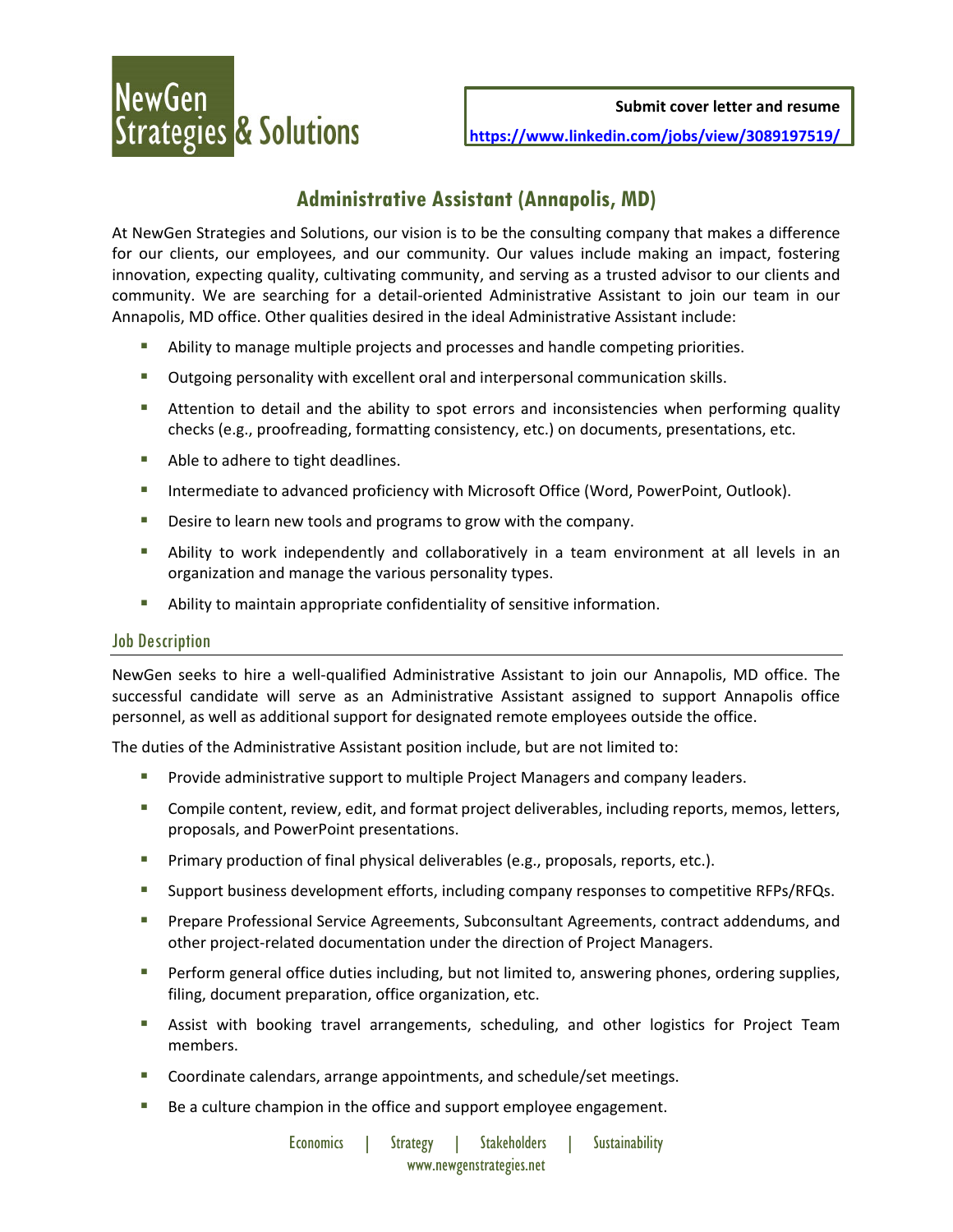**Submit cover letter and resume**

**https://www.linkedin.com/jobs/view/3089197519/**

# **Administrative Assistant (Annapolis, MD)**

At NewGen Strategies and Solutions, our vision is to be the consulting company that makes a difference for our clients, our employees, and our community. Our values include making an impact, fostering innovation, expecting quality, cultivating community, and serving as a trusted advisor to our clients and community. We are searching for a detail‐oriented Administrative Assistant to join our team in our Annapolis, MD office. Other qualities desired in the ideal Administrative Assistant include:

- **•** Ability to manage multiple projects and processes and handle competing priorities.
- Outgoing personality with excellent oral and interpersonal communication skills.
- **Attention to detail and the ability to spot errors and inconsistencies when performing quality** checks (e.g., proofreading, formatting consistency, etc.) on documents, presentations, etc.
- Able to adhere to tight deadlines.
- **Intermediate to advanced proficiency with Microsoft Office (Word, PowerPoint, Outlook).**
- **Desire to learn new tools and programs to grow with the company.**
- Ability to work independently and collaboratively in a team environment at all levels in an organization and manage the various personality types.
- Ability to maintain appropriate confidentiality of sensitive information.

# Job Description

NewGen seeks to hire a well‐qualified Administrative Assistant to join our Annapolis, MD office. The successful candidate will serve as an Administrative Assistant assigned to support Annapolis office personnel, as well as additional support for designated remote employees outside the office.

The duties of the Administrative Assistant position include, but are not limited to:

- Provide administrative support to multiple Project Managers and company leaders.
- Compile content, review, edit, and format project deliverables, including reports, memos, letters, proposals, and PowerPoint presentations.
- **Primary production of final physical deliverables (e.g., proposals, reports, etc.).**
- Support business development efforts, including company responses to competitive RFPs/RFQs.
- **Prepare Professional Service Agreements, Subconsultant Agreements, contract addendums, and** other project‐related documentation under the direction of Project Managers.
- **Perform general office duties including, but not limited to, answering phones, ordering supplies,** filing, document preparation, office organization, etc.
- Assist with booking travel arrangements, scheduling, and other logistics for Project Team members.
- Coordinate calendars, arrange appointments, and schedule/set meetings.
- Be a culture champion in the office and support employee engagement.